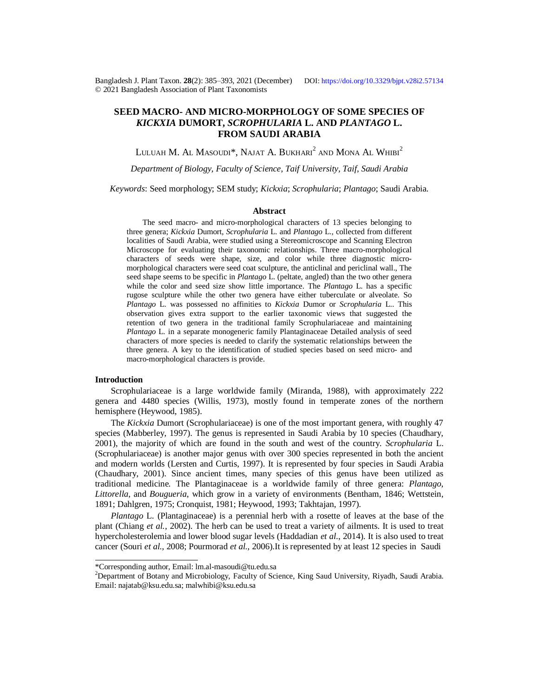Bangladesh J. Plant Taxon. **28**(2): 385‒393, 2021 (December) DOI:<https://doi.org/10.3329/bjpt.v28i2.57134> © 2021 Bangladesh Association of Plant Taxonomists

# **SEED MACRO- AND MICRO-MORPHOLOGY OF SOME SPECIES OF**  *KICKXIA* **DUMORT,** *SCROPHULARIA* **L. AND** *PLANTAGO* **L. FROM SAUDI ARABIA**

Luluah M. Al Masoudi\*, Najat A. Bukhari $^2$  and Mona Al Whibi $^2$ 

*Department of Biology, Faculty of Science, Taif University, Taif, Saudi Arabia*

*Keywords*: Seed morphology; SEM study; *Kickxia*; *Scrophularia*; *Plantago*; Saudi Arabia.

#### **Abstract**

The seed macro- and micro-morphological characters of 13 species belonging to three genera; *Kickxia* Dumort, *Scrophularia* L. and *Plantago* L., collected from different localities of Saudi Arabia, were studied using a Stereomicroscope and Scanning Electron Microscope for evaluating their taxonomic relationships. Three macro-morphological characters of seeds were shape, size, and color while three diagnostic micromorphological characters were seed coat sculpture, the anticlinal and periclinal wall., The seed shape seems to be specific in *Plantago* L. (peltate, angled) than the two other genera while the color and seed size show little importance. The *Plantago* L. has a specific rugose sculpture while the other two genera have either tuberculate or alveolate. So *Plantago* L. was possessed no affinities to *Kickxia* Dumor or *Scrophularia* L.. This observation gives extra support to the earlier taxonomic views that suggested the retention of two genera in the traditional family Scrophulariaceae and maintaining *Plantago* L. in a separate monogeneric family Plantaginaceae Detailed analysis of seed characters of more species is needed to clarify the systematic relationships between the three genera. A key to the identification of studied species based on seed micro- and macro-morphological characters is provide.

## **Introduction**

Scrophulariaceae is a large worldwide family (Miranda, 1988), with approximately 222 genera and 4480 species (Willis, 1973), mostly found in temperate zones of the northern hemisphere (Heywood, 1985).

The *Kickxia* Dumort (Scrophulariaceae) is one of the most important genera, with roughly 47 species (Mabberley, 1997). The genus is represented in Saudi Arabia by 10 species (Chaudhary, 2001), the majority of which are found in the south and west of the country. *Scrophularia* L. (Scrophulariaceae) is another major genus with over 300 species represented in both the ancient and modern worlds (Lersten and Curtis, 1997). It is represented by four species in Saudi Arabia (Chaudhary, 2001). Since ancient times, many species of this genus have been utilized as traditional medicine. The Plantaginaceae is a worldwide family of three genera: *Plantago*, *Littorella*, and *Bougueria*, which grow in a variety of environments (Bentham, 1846; Wettstein, 1891; Dahlgren, 1975; Cronquist, 1981; Heywood, 1993; Takhtajan, 1997).

*Plantago* L. (Plantaginaceae) is a perennial herb with a rosette of leaves at the base of the plant (Chiang *et al.*, 2002). The herb can be used to treat a variety of ailments. It is used to treat hypercholesterolemia and lower blood sugar levels (Haddadian *et al*., 2014). It is also used to treat cancer (Souri *et al.*, 2008; Pourmorad *et al.*, 2006).It is represented by at least 12 species in Saudi

<sup>\*</sup>Corresponding author, Email: [lm.al-masoudi@tu.edu.sa](mailto:lm.al-masoudi@tu.edu.sa)

<sup>&</sup>lt;sup>2</sup>Department of Botany and Microbiology, Faculty of Science, King Saud University, Riyadh, Saudi Arabia. Email: [najatab@ksu.edu.sa;](mailto:najatab@ksu.edu.sa;) [malwhibi@ksu.edu.sa](mailto:malwhibi@ksu.edu.sa)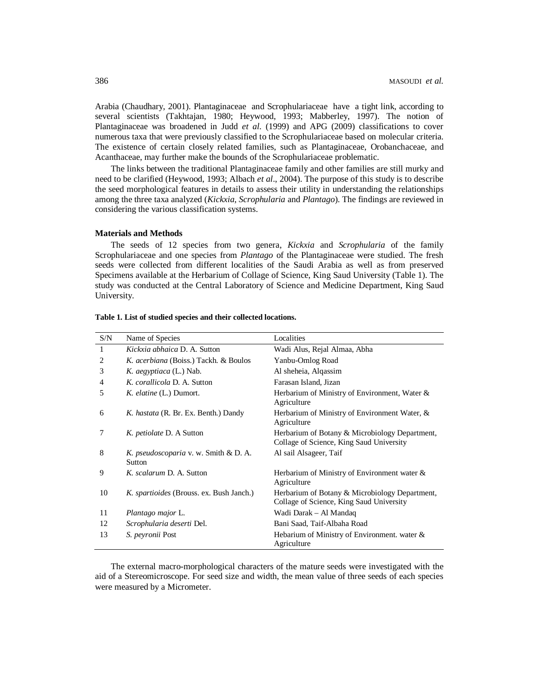Arabia (Chaudhary, 2001). Plantaginaceae and Scrophulariaceae have a tight link, according to several scientists (Takhtajan, 1980; Heywood, 1993; Mabberley, 1997). The notion of Plantaginaceae was broadened in Judd *et al*. (1999) and APG (2009) classifications to cover numerous taxa that were previously classified to the Scrophulariaceae based on molecular criteria. The existence of certain closely related families, such as Plantaginaceae, Orobanchaceae, and Acanthaceae, may further make the bounds of the Scrophulariaceae problematic.

The links between the traditional Plantaginaceae family and other families are still murky and need to be clarified (Heywood, 1993; Albach *et al*., 2004). The purpose of this study is to describe the seed morphological features in details to assess their utility in understanding the relationships among the three taxa analyzed (*Kickxia*, *Scrophularia* and *Plantago*). The findings are reviewed in considering the various classification systems.

## **Materials and Methods**

The seeds of 12 species from two genera, *Kickxia* and *Scrophularia* of the family Scrophulariaceae and one species from *Plantago* of the Plantaginaceae were studied. The fresh seeds were collected from different localities of the Saudi Arabia as well as from preserved Specimens available at the Herbarium of Collage of Science, King Saud University (Table 1). The study was conducted at the Central Laboratory of Science and Medicine Department, King Saud University.

| S/N            | Name of Species                                        | Localities                                                                                 |
|----------------|--------------------------------------------------------|--------------------------------------------------------------------------------------------|
| 1              | Kickxia abhaica D. A. Sutton                           | Wadi Alus, Rejal Almaa, Abha                                                               |
| $\overline{c}$ | K. acerbiana (Boiss.) Tackh. & Boulos                  | Yanbu-Omlog Road                                                                           |
| 3              | K. <i>aegyptiaca</i> (L.) Nab.                         | Al sheheia, Algassim                                                                       |
| 4              | K. corallicola D. A. Sutton                            | Farasan Island, Jizan                                                                      |
| 5              | K. elatine (L.) Dumort.                                | Herbarium of Ministry of Environment, Water &<br>Agriculture                               |
| 6              | K. hastata (R. Br. Ex. Benth.) Dandy                   | Herbarium of Ministry of Environment Water, &<br>Agriculture                               |
| 7              | K. <i>petiolate</i> D. A Sutton                        | Herbarium of Botany & Microbiology Department,<br>Collage of Science, King Saud University |
| 8              | K. pseudoscoparia v. w. Smith & D. A.<br><b>Sutton</b> | Al sail Alsageer, Taif                                                                     |
| 9              | K. scalarum D. A. Sutton                               | Herbarium of Ministry of Environment water $\&$<br>Agriculture                             |
| 10             | <i>K. spartioides</i> (Brouss. ex. Bush Janch.)        | Herbarium of Botany & Microbiology Department,<br>Collage of Science, King Saud University |
| 11             | Plantago major L.                                      | Wadi Darak – Al Mandaq                                                                     |
| 12             | Scrophularia deserti Del.                              | Bani Saad, Taif-Albaha Road                                                                |
| 13             | <i>S. peyronii</i> Post                                | Hebarium of Ministry of Environment. water &<br>Agriculture                                |

#### **Table 1. List of studied species and their collected locations.**

The external macro-morphological characters of the mature seeds were investigated with the aid of a Stereomicroscope. For seed size and width, the mean value of three seeds of each species were measured by a Micrometer.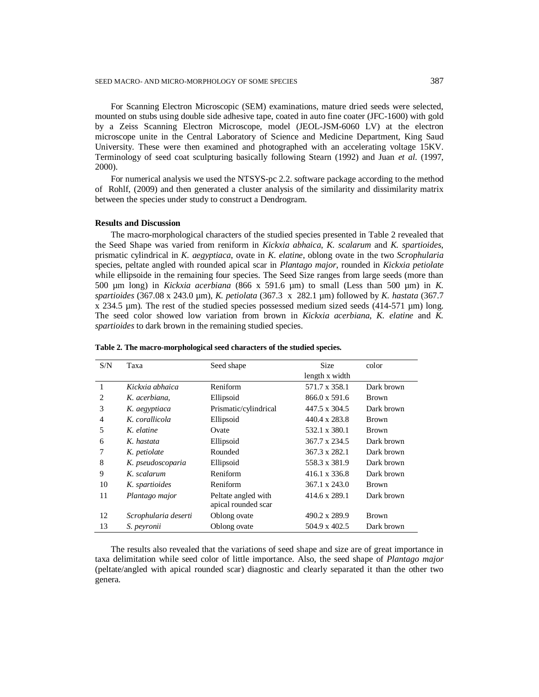For Scanning Electron Microscopic (SEM) examinations, mature dried seeds were selected, mounted on stubs using double side adhesive tape, coated in auto fine coater (JFC-1600) with gold by a Zeiss Scanning Electron Microscope, model (JEOL-JSM-6060 LV) at the electron microscope unite in the Central Laboratory of Science and Medicine Department, King Saud University. These were then examined and photographed with an accelerating voltage 15KV. Terminology of seed coat sculpturing basically following Stearn (1992) and Juan *et al*. (1997, 2000).

For numerical analysis we used the NTSYS-pc 2.2. software package according to the method of Rohlf, (2009) and then generated a cluster analysis of the similarity and dissimilarity matrix between the species under study to construct a Dendrogram.

#### **Results and Discussion**

The macro-morphological characters of the studied species presented in Table 2 revealed that the Seed Shape was varied from reniform in *Kickxia abhaica*, *K. scalarum* and *K. spartioides*, prismatic cylindrical in *K. aegyptiaca*, ovate in *K*. *elatine*, oblong ovate in the two *Scrophularia* species, peltate angled with rounded apical scar in *Plantago major*, rounded in *Kickxia petiolate* while ellipsoide in the remaining four species. The Seed Size ranges from large seeds (more than 500 µm long) in *Kickxia acerbiana* (866 x 591.6 µm) to small (Less than 500 µm) in *K. spartioides* (367.08 x 243.0 µm), *K. petiolata* (367.3 x 282.1 µm) followed by *K. hastata* (367.7  $x$  234.5  $\mu$ m). The rest of the studied species possessed medium sized seeds (414-571  $\mu$ m) long. The seed color showed low variation from brown in *Kickxia acerbiana*, *K. elatine* and *K. spartioides* to dark brown in the remaining studied species.

| S/N            | Taxa                 | Seed shape            | <b>Size</b>          | color        |
|----------------|----------------------|-----------------------|----------------------|--------------|
|                |                      |                       | length x width       |              |
| 1              | Kickxia abhaica      | Reniform              | 571.7 x 358.1        | Dark brown   |
| $\overline{c}$ | K. acerbiana,        | Ellipsoid             | 866.0 x 591.6        | <b>Brown</b> |
| 3              | K. aegyptiaca        | Prismatic/cylindrical | 447.5 x 304.5        | Dark brown   |
| $\overline{4}$ | K. corallicola       | Ellipsoid             | 440.4 x 283.8        | <b>Brown</b> |
| 5              | K. elatine           | Ovate                 | 532.1 x 380.1        | Brown        |
| 6              | K. hastata           | Ellipsoid             | 367.7 x 234.5        | Dark brown   |
| 7              | K. petiolate         | Rounded               | $367.3 \times 282.1$ | Dark brown   |
| 8              | K. pseudoscoparia    | Ellipsoid             | 558.3 x 381.9        | Dark brown   |
| 9              | K. scalarum          | Reniform              | 416.1 x 336.8        | Dark brown   |
| 10             | K. spartioides       | Reniform              | 367.1 x 243.0        | <b>Brown</b> |
| 11             | Plantago major       | Peltate angled with   | 414.6 x 289.1        | Dark brown   |
|                |                      | apical rounded scar   |                      |              |
| 12             | Scrophularia deserti | Oblong ovate          | 490.2 x 289.9        | <b>Brown</b> |
| 13             | S. peyronii          | Oblong ovate          | 504.9 x 402.5        | Dark brown   |

**Table 2. The macro-morphological seed characters of the studied species.**

The results also revealed that the variations of seed shape and size are of great importance in taxa delimitation while seed color of little importance. Also, the seed shape of *Plantago major* (peltate/angled with apical rounded scar) diagnostic and clearly separated it than the other two genera.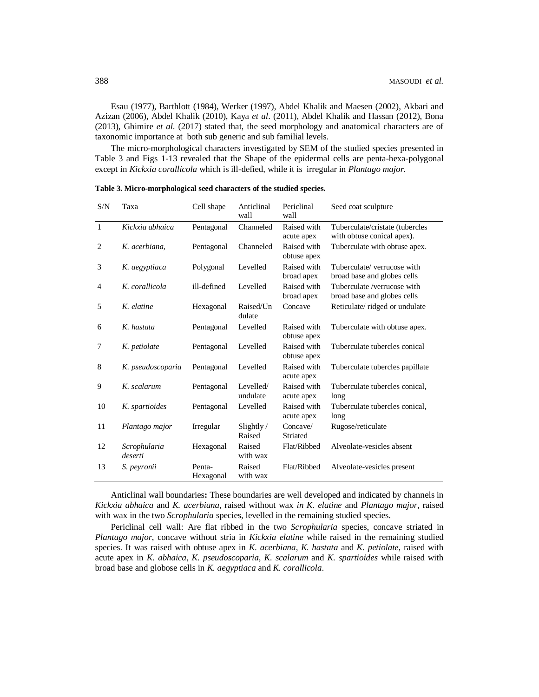Esau (1977), Barthlott (1984), Werker (1997), Abdel Khalik and Maesen (2002), Akbari and Azizan (2006), Abdel Khalik (2010), Kaya *et al*. (2011), Abdel Khalik and Hassan (2012), Bona (2013), Ghimire *et al*. (2017) stated that, the seed morphology and anatomical characters are of taxonomic importance at both sub generic and sub familial levels.

The micro-morphological characters investigated by SEM of the studied species presented in Table 3 and Figs 1-13 revealed that the Shape of the epidermal cells are penta-hexa-polygonal except in *Kickxia corallicola* which is ill-defied, while it is irregular in *Plantago major*.

| $\ensuremath{\mathrm{S/N}}$ | Taxa                    | Cell shape          | Anticlinal<br>wall    | Periclinal<br>wall         | Seed coat sculpture                                           |
|-----------------------------|-------------------------|---------------------|-----------------------|----------------------------|---------------------------------------------------------------|
| $\mathbf{1}$                | Kickxia abhaica         | Pentagonal          | Channeled             | Raised with<br>acute apex  | Tuberculate/cristate (tubercles<br>with obtuse conical apex). |
| 2                           | K. acerbiana.           | Pentagonal          | Channeled             | Raised with<br>obtuse apex | Tuberculate with obtuse apex.                                 |
| 3                           | K. aegyptiaca           | Polygonal           | Levelled              | Raised with<br>broad apex  | Tuberculate/verrucose with<br>broad base and globes cells     |
| 4                           | K. corallicola          | ill-defined         | Levelled              | Raised with<br>broad apex  | Tuberculate /verrucose with<br>broad base and globes cells    |
| 5                           | K. elatine              | Hexagonal           | Raised/Un<br>dulate   | Concave                    | Reticulate/ridged or undulate                                 |
| 6                           | K. hastata              | Pentagonal          | Levelled              | Raised with<br>obtuse apex | Tuberculate with obtuse apex.                                 |
| 7                           | K. petiolate            | Pentagonal          | Levelled              | Raised with<br>obtuse apex | Tuberculate tubercles conical                                 |
| 8                           | K. pseudoscoparia       | Pentagonal          | Levelled              | Raised with<br>acute apex  | Tuberculate tubercles papillate                               |
| 9                           | K. scalarum             | Pentagonal          | Levelled/<br>undulate | Raised with<br>acute apex  | Tuberculate tubercles conical,<br>long                        |
| 10                          | K. spartioides          | Pentagonal          | Levelled              | Raised with<br>acute apex  | Tuberculate tubercles conical,<br>long                        |
| 11                          | Plantago major          | Irregular           | Slightly/<br>Raised   | Concave/<br>Striated       | Rugose/reticulate                                             |
| 12                          | Scrophularia<br>deserti | Hexagonal           | Raised<br>with wax    | Flat/Ribbed                | Alveolate-vesicles absent                                     |
| 13                          | S. peyronii             | Penta-<br>Hexagonal | Raised<br>with wax    | Flat/Ribbed                | Alveolate-vesicles present                                    |

**Table 3. Micro-morphological seed characters of the studied species.**

Anticlinal wall boundaries**:** These boundaries are well developed and indicated by channels in *Kickxia abhaica* and *K. acerbiana*, raised without wax *in K. elatine* and *Plantago major*, raised with wax in the two *Scrophularia* species, levelled in the remaining studied species.

Periclinal cell wall: Are flat ribbed in the two *Scrophularia* species, concave striated in *Plantago major*, concave without stria in *Kickxia elatine* while raised in the remaining studied species. It was raised with obtuse apex in *K. acerbiana*, *K. hastata* and *K. petiolate*, raised with acute apex in *K. abhaica*, *K. pseudoscoparia*, *K. scalarum* and *K. spartioides* while raised with broad base and globose cells in *K. aegyptiaca* and *K. corallicola*.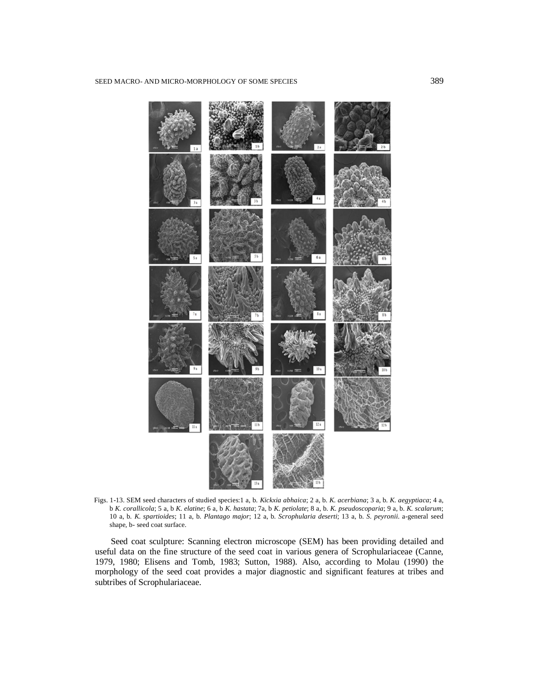

Figs. 1-13. SEM seed characters of studied species:1 a, b. *Kickxia abhaica*; 2 a, b. *K. acerbiana*; 3 a, b. *K. aegyptiaca*; 4 a, b *K. corallicola*; 5 a, b *K. elatine*; 6 a, b *K. hastata*; 7a, b *K. petiolate*; 8 a, b. *K. pseudoscoparia*; 9 a, b. *K. scalarum*; 10 a, b. *K*. *spartioides*; 11 a, b. *Plantago major*; 12 a, b. *Scrophularia deserti*; 13 a, b. *S. peyronii*. a-general seed shape, b- seed coat surface.

Seed coat sculpture: Scanning electron microscope (SEM) has been providing detailed and useful data on the fine structure of the seed coat in various genera of Scrophulariaceae (Canne, 1979, 1980; Elisens and Tomb, 1983; Sutton, 1988). Also, according to Molau (1990) the morphology of the seed coat provides a major diagnostic and significant features at tribes and subtribes of Scrophulariaceae.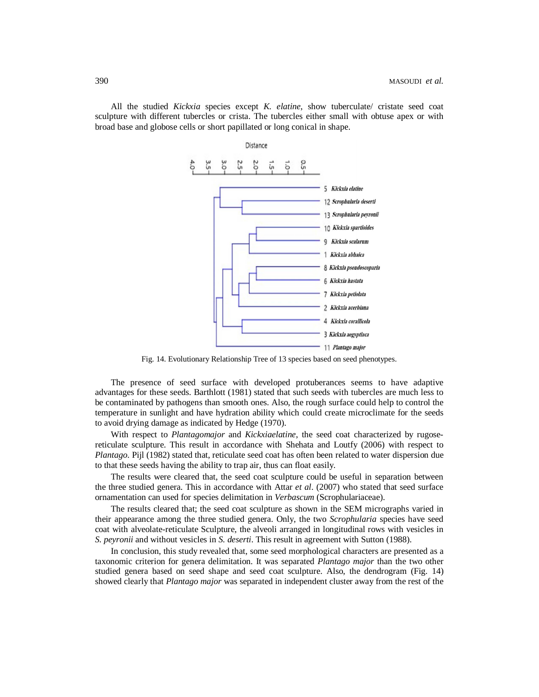All the studied *Kickxia* species except *K. elatine*, show tuberculate/ cristate seed coat sculpture with different tubercles or crista. The tubercles either small with obtuse apex or with broad base and globose cells or short papillated or long conical in shape.



Fig. 14. Evolutionary Relationship Tree of 13 species based on seed phenotypes.

The presence of seed surface with developed protuberances seems to have adaptive advantages for these seeds. Barthlott (1981) stated that such seeds with tubercles are much less to be contaminated by pathogens than smooth ones. Also, the rough surface could help to control the temperature in sunlight and have hydration ability which could create microclimate for the seeds to avoid drying damage as indicated by Hedge (1970).

With respect to *Plantagomajor* and *Kickxiaelatine*, the seed coat characterized by rugosereticulate sculpture. This result in accordance with Shehata and Loutfy (2006) with respect to *Plantago*. Pijl (1982) stated that, reticulate seed coat has often been related to water dispersion due to that these seeds having the ability to trap air, thus can float easily.

The results were cleared that, the seed coat sculpture could be useful in separation between the three studied genera. This in accordance with Attar *et al*. (2007) who stated that seed surface ornamentation can used for species delimitation in *Verbascum* (Scrophulariaceae).

The results cleared that; the seed coat sculpture as shown in the SEM micrographs varied in their appearance among the three studied genera. Only, the two *Scrophularia* species have seed coat with alveolate-reticulate Sculpture, the alveoli arranged in longitudinal rows with vesicles in *S. peyronii* and without vesicles in *S. deserti*. This result in agreement with Sutton (1988).

In conclusion, this study revealed that, some seed morphological characters are presented as a taxonomic criterion for genera delimitation. It was separated *Plantago major* than the two other studied genera based on seed shape and seed coat sculpture. Also, the dendrogram (Fig. 14) showed clearly that *Plantago major* was separated in independent cluster away from the rest of the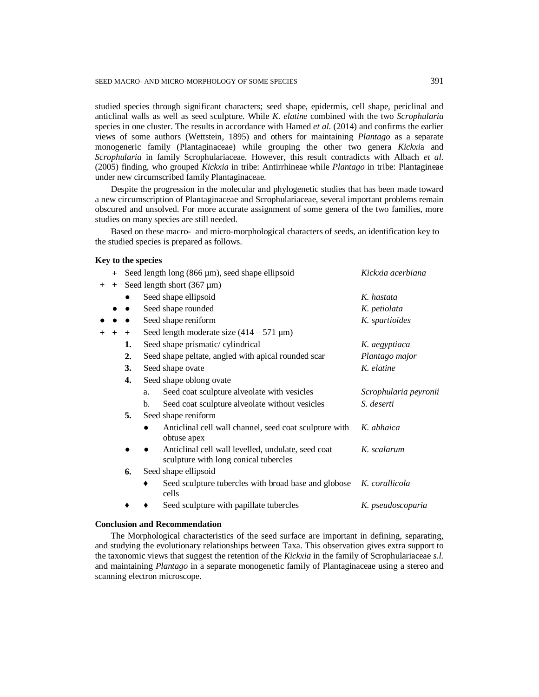studied species through significant characters; seed shape, epidermis, cell shape, periclinal and anticlinal walls as well as seed sculpture. While *K. elatine* combined with the two *Scrophularia* species in one cluster. The results in accordance with Hamed *et al*. (2014) and confirms the earlier views of some authors (Wettstein, 1895) and others for maintaining *Plantago* as a separate monogeneric family (Plantaginaceae) while grouping the other two genera *Kickxi*a and *Scrophularia* in family Scrophulariaceae. However, this result contradicts with Albach *et al*. (2005) finding, who grouped *Kickxia* in tribe: Antirrhineae while *Plantago* in tribe: Plantagineae under new circumscribed family Plantaginaceae.

Despite the progression in the molecular and phylogenetic studies that has been made toward a new circumscription of Plantaginaceae and Scrophulariaceae, several important problems remain obscured and unsolved. For more accurate assignment of some genera of the two families, more studies on many species are still needed.

Based on these macro- and micro-morphological characters of seeds, an identification key to the studied species is prepared as follows.

## **Key to the species**

|        | $^{+}$ |     |    | Seed length long $(866 \,\mu m)$ , seed shape ellipsoid                                     | Kickxia acerbiana     |
|--------|--------|-----|----|---------------------------------------------------------------------------------------------|-----------------------|
| $^{+}$ | $+$    |     |    | Seed length short $(367 \,\mu m)$                                                           |                       |
|        |        |     |    | Seed shape ellipsoid                                                                        | K. hastata            |
|        |        |     |    | Seed shape rounded                                                                          | K. petiolata          |
|        |        |     |    | Seed shape reniform                                                                         | K. spartioides        |
| $+$    | $+$    | $+$ |    | Seed length moderate size $(414 – 571 \mu m)$                                               |                       |
|        |        | 1.  |    | Seed shape prismatic/cylindrical                                                            | K. aegyptiaca         |
|        |        | 2.  |    | Seed shape peltate, angled with apical rounded scar                                         | Plantago major        |
|        |        | 3.  |    | Seed shape ovate                                                                            | K. elatine            |
|        |        | 4.  |    | Seed shape oblong ovate                                                                     |                       |
|        |        |     | a. | Seed coat sculpture alveolate with vesicles                                                 | Scrophularia peyronii |
|        |        |     | b. | Seed coat sculpture alveolate without vesicles                                              | S. deserti            |
|        |        | 5.  |    | Seed shape reniform                                                                         |                       |
|        |        |     |    | Anticlinal cell wall channel, seed coat sculpture with<br>obtuse apex                       | K. abhaica            |
|        |        |     |    | Anticlinal cell wall levelled, undulate, seed coat<br>sculpture with long conical tubercles | K. scalarum           |
|        |        | 6.  |    | Seed shape ellipsoid                                                                        |                       |
|        |        |     |    | Seed sculpture tubercles with broad base and globose K. corallicola<br>cells                |                       |
|        |        |     |    | Seed sculpture with papillate tubercles                                                     | K. pseudoscoparia     |
|        |        |     |    |                                                                                             |                       |

#### **Conclusion and Recommendation**

The Morphological characteristics of the seed surface are important in defining, separating, and studying the evolutionary relationships between Taxa. This observation gives extra support to the taxonomic views that suggest the retention of the *Kickxia* in the family of Scrophulariaceae *s.l.*  and maintaining *Plantago* in a separate monogenetic family of Plantaginaceae using a stereo and scanning electron microscope.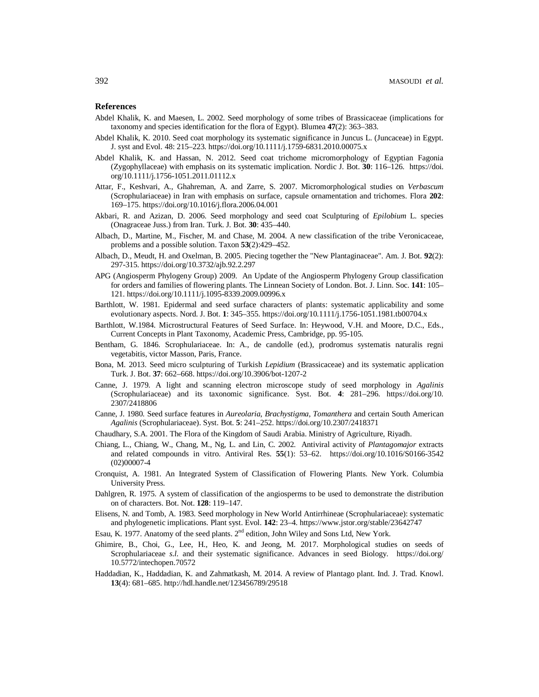## **References**

- Abdel Khalik, K. and Maesen, L. 2002. Seed morphology of some tribes of Brassicaceae (implications for taxonomy and species identification for the flora of Egypt). Blumea **47**(2): 363–383.
- Abdel Khalik, K. 2010. Seed coat morphology its systematic significance in Juncus L. (Juncaceae) in Egypt. J. syst and Evol. 48: 215–223. <https://doi.org/10.1111/j.1759-6831.2010.00075.x>
- Abdel Khalik, K. and Hassan, N. 2012. Seed coat trichome micromorphology of Egyptian Fagonia (Zygophyllaceae) with emphasis on its systematic implication. Nordic J. Bot. **30**: 116–126. <https://doi.> org/10.1111/j.1756-1051.2011.01112.x
- Attar, F., Keshvari, A., Ghahreman, A. and Zarre, S. 2007. Micromorphological studies on *Verbascum* (Scrophulariaceae) in Iran with emphasis on surface, capsule ornamentation and trichomes. Flora **202**: 169–175.<https://doi.org/10.1016/j.flora.2006.04.001>
- Akbari, R. and Azizan, D. 2006. Seed morphology and seed coat Sculpturing of *Epilobium* L. species (Onagraceae Juss.) from Iran. Turk. J. Bot. **30**: 435–440.
- Albach, D., Martine, M., Fischer, M. and Chase, M. 2004. A new classification of the tribe Veronicaceae, problems and a possible solution. Taxon **53**(2):429–452.
- Albach, D., Meudt, H. and Oxelman, B. 2005. Piecing together the "New Plantaginaceae". Am. J. Bot. **92**(2): 297-315. <https://doi.org/10.3732/ajb.92.2.297>
- APG (Angiosperm Phylogeny Group) 2009. An Update of the Angiosperm Phylogeny Group classification for orders and families of flowering plants. The Linnean Society of London. Bot. J. Linn. Soc. **141**: 105– 121.<https://doi.org/10.1111/j.1095-8339.2009.00996.x>
- Barthlott, W. 1981. Epidermal and seed surface characters of plants: systematic applicability and some evolutionary aspects. Nord. J. Bot. **1**: 345–355. <https://doi.org/10.1111/j.1756-1051.1981.tb00704.x>
- Barthlott, W.1984. Microstructural Features of Seed Surface. In: Heywood, V.H. and Moore, D.C., Eds., Current Concepts in Plant Taxonomy, Academic Press, Cambridge, pp. 95-105.
- Bentham, G. 1846. Scrophulariaceae. In: A., de candolle (ed.), prodromus systematis naturalis regni vegetabitis, victor Masson, Paris, France.
- Bona, M. 2013. Seed micro sculpturing of Turkish *Lepidium* (Brassicaceae) and its systematic application Turk. J. Bot. **37**: 662–668.<https://doi.org/10.3906/bot-1207-2>
- Canne, J. 1979. A light and scanning electron microscope study of seed morphology in *Agalinis* (Scrophulariaceae) and its taxonomic significance. Syst. Bot. **4**: 281–296. <https://doi.org/10.> 2307/2418806
- Canne, J. 1980. Seed surface features in *Aureolaria*, *Brachystigma*, *Tomanthera* and certain South American *Agalinis* (Scrophulariaceae). Syst. Bot. **5**: 241–252. <https://doi.org/10.2307/2418371>
- Chaudhary, S.A. 2001. The Flora of the Kingdom of Saudi Arabia. Ministry of Agriculture, Riyadh.
- Chiang, L., Chiang, W., Chang, M., Ng, L. and Lin, C. 2002. Antiviral activity of *Plantagomajor* extracts and related compounds in vitro. Antiviral Res. **55**(1): 53–62. <https://doi.org/10.1016/S0166-3542> (02)00007-4
- Cronquist, A. 1981. An Integrated System of Classification of Flowering Plants. New York. Columbia University Press.
- Dahlgren, R. 1975. A system of classification of the angiosperms to be used to demonstrate the distribution on of characters. Bot. Not. **128**: 119–147.
- Elisens, N. and Tomb, A. 1983. Seed morphology in New World Antirrhineae (Scrophulariaceae): systematic and phylogenetic implications. Plant syst. Evol. **142**: 23–4. <https://www.jstor.org/stable/23642747>
- Esau, K. 1977. Anatomy of the seed plants. 2<sup>nd</sup> edition, John Wiley and Sons Ltd, New York.
- Ghimire, B., Choi, G., Lee, H., Heo, K. and Jeong, M. 2017. Morphological studies on seeds of Scrophulariaceae *s.l.* and their systematic significance. Advances in seed Biology. <https://doi.org/> 10.5772/intechopen.70572
- Haddadian, K., Haddadian, K. and Zahmatkash, M. 2014. A review of Plantago plant. Ind. J. Trad. Knowl. **13**(4): 681–685.<http://hdl.handle.net/123456789/29518>